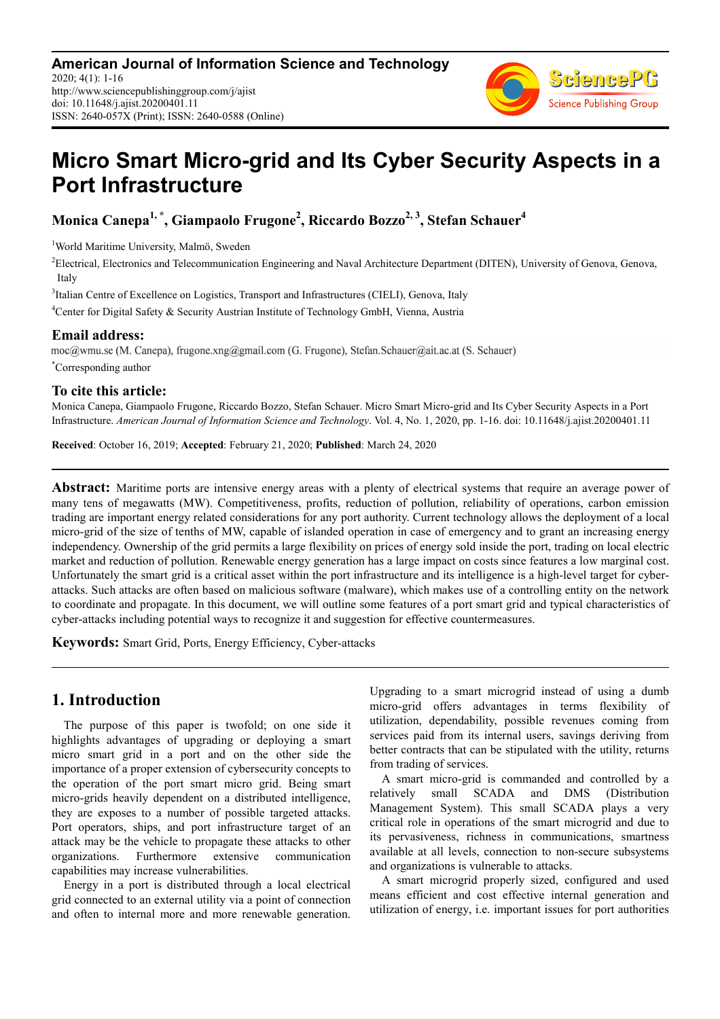

# **Micro Smart Micro-grid and Its Cyber Security Aspects in a Port Infrastructure**

**Monica Canepa1, \*, Giampaolo Frugone<sup>2</sup> , Riccardo Bozzo2, 3, Stefan Schauer<sup>4</sup>**

<sup>1</sup>World Maritime University, Malmö, Sweden

<sup>2</sup>Electrical, Electronics and Telecommunication Engineering and Naval Architecture Department (DITEN), University of Genova, Genova, Italy

<sup>3</sup>Italian Centre of Excellence on Logistics, Transport and Infrastructures (CIELI), Genova, Italy

<sup>4</sup>Center for Digital Safety & Security Austrian Institute of Technology GmbH, Vienna, Austria

### **Email address:**

moc@wmu.se (M. Canepa), frugone.xng@gmail.com (G. Frugone), Stefan.Schauer@ait.ac.at (S. Schauer) \*Corresponding author

### **To cite this article:**

Monica Canepa, Giampaolo Frugone, Riccardo Bozzo, Stefan Schauer. Micro Smart Micro-grid and Its Cyber Security Aspects in a Port Infrastructure. *American Journal of Information Science and Technology*. Vol. 4, No. 1, 2020, pp. 1-16. doi: 10.11648/j.ajist.20200401.11

**Received**: October 16, 2019; **Accepted**: February 21, 2020; **Published**: March 24, 2020

**Abstract:** Maritime ports are intensive energy areas with a plenty of electrical systems that require an average power of many tens of megawatts (MW). Competitiveness, profits, reduction of pollution, reliability of operations, carbon emission trading are important energy related considerations for any port authority. Current technology allows the deployment of a local micro-grid of the size of tenths of MW, capable of islanded operation in case of emergency and to grant an increasing energy independency. Ownership of the grid permits a large flexibility on prices of energy sold inside the port, trading on local electric market and reduction of pollution. Renewable energy generation has a large impact on costs since features a low marginal cost. Unfortunately the smart grid is a critical asset within the port infrastructure and its intelligence is a high-level target for cyberattacks. Such attacks are often based on malicious software (malware), which makes use of a controlling entity on the network to coordinate and propagate. In this document, we will outline some features of a port smart grid and typical characteristics of cyber-attacks including potential ways to recognize it and suggestion for effective countermeasures.

**Keywords:** Smart Grid, Ports, Energy Efficiency, Cyber-attacks

# **1. Introduction**

The purpose of this paper is twofold; on one side it highlights advantages of upgrading or deploying a smart micro smart grid in a port and on the other side the importance of a proper extension of cybersecurity concepts to the operation of the port smart micro grid. Being smart micro-grids heavily dependent on a distributed intelligence, they are exposes to a number of possible targeted attacks. Port operators, ships, and port infrastructure target of an attack may be the vehicle to propagate these attacks to other organizations. Furthermore extensive communication capabilities may increase vulnerabilities.

Energy in a port is distributed through a local electrical grid connected to an external utility via a point of connection and often to internal more and more renewable generation. Upgrading to a smart microgrid instead of using a dumb micro-grid offers advantages in terms flexibility of utilization, dependability, possible revenues coming from services paid from its internal users, savings deriving from better contracts that can be stipulated with the utility, returns from trading of services.

A smart micro-grid is commanded and controlled by a relatively small SCADA and DMS (Distribution Management System). This small SCADA plays a very critical role in operations of the smart microgrid and due to its pervasiveness, richness in communications, smartness available at all levels, connection to non-secure subsystems and organizations is vulnerable to attacks.

A smart microgrid properly sized, configured and used means efficient and cost effective internal generation and utilization of energy, i.e. important issues for port authorities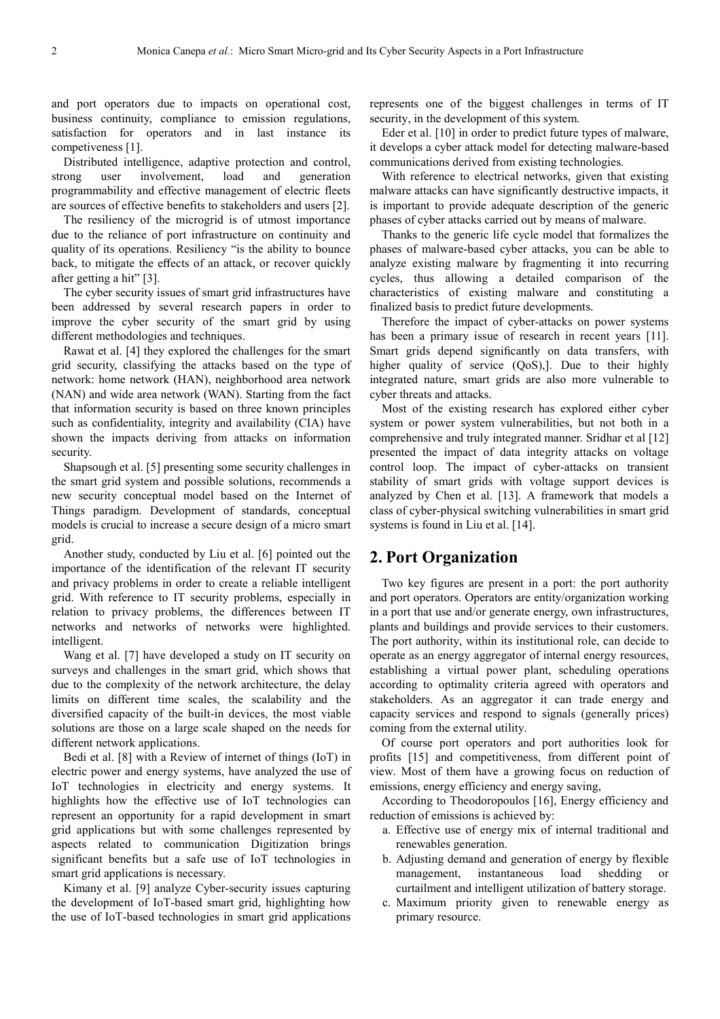and port operators due to impacts on operational cost, business continuity, compliance to emission regulations, satisfaction for operators and in last instance its competiveness [1].

Distributed intelligence, adaptive protection and control, strong user involvement, load and generation programmability and effective management of electric fleets are sources of effective benefits to stakeholders and users [2].

The resiliency of the microgrid is of utmost importance due to the reliance of port infrastructure on continuity and quality of its operations. Resiliency "is the ability to bounce back, to mitigate the effects of an attack, or recover quickly after getting a hit" [3].

The cyber security issues of smart grid infrastructures have been addressed by several research papers in order to improve the cyber security of the smart grid by using different methodologies and techniques.

Rawat et al. [4] they explored the challenges for the smart grid security, classifying the attacks based on the type of network: home network (HAN), neighborhood area network (NAN) and wide area network (WAN). Starting from the fact that information security is based on three known principles such as confidentiality, integrity and availability (CIA) have shown the impacts deriving from attacks on information security.

Shapsough et al. [5] presenting some security challenges in the smart grid system and possible solutions, recommends a new security conceptual model based on the Internet of Things paradigm. Development of standards, conceptual models is crucial to increase a secure design of a micro smart grid.

Another study, conducted by Liu et al. [6] pointed out the importance of the identification of the relevant IT security and privacy problems in order to create a reliable intelligent grid. With reference to IT security problems, especially in relation to privacy problems, the differences between IT networks and networks of networks were highlighted. intelligent.

Wang et al. [7] have developed a study on IT security on surveys and challenges in the smart grid, which shows that due to the complexity of the network architecture, the delay limits on different time scales, the scalability and the diversified capacity of the built-in devices, the most viable solutions are those on a large scale shaped on the needs for different network applications.

Bedi et al. [8] with a Review of internet of things (IoT) in electric power and energy systems, have analyzed the use of IoT technologies in electricity and energy systems. It highlights how the effective use of IoT technologies can represent an opportunity for a rapid development in smart grid applications but with some challenges represented by aspects related to communication Digitization brings significant benefits but a safe use of IoT technologies in smart grid applications is necessary.

Kimany et al. [9] analyze Cyber-security issues capturing the development of IoT-based smart grid, highlighting how the use of IoT-based technologies in smart grid applications represents one of the biggest challenges in terms of IT security, in the development of this system.

Eder et al. [10] in order to predict future types of malware, it develops a cyber attack model for detecting malware-based communications derived from existing technologies.

With reference to electrical networks, given that existing malware attacks can have significantly destructive impacts, it is important to provide adequate description of the generic phases of cyber attacks carried out by means of malware.

Thanks to the generic life cycle model that formalizes the phases of malware-based cyber attacks, you can be able to analyze existing malware by fragmenting it into recurring cycles, thus allowing a detailed comparison of the characteristics of existing malware and constituting a finalized basis to predict future developments.

Therefore the impact of cyber-attacks on power systems has been a primary issue of research in recent years [11]. Smart grids depend significantly on data transfers, with higher quality of service (QoS),]. Due to their highly integrated nature, smart grids are also more vulnerable to cyber threats and attacks.

Most of the existing research has explored either cyber system or power system vulnerabilities, but not both in a comprehensive and truly integrated manner. Sridhar et al [12] presented the impact of data integrity attacks on voltage control loop. The impact of cyber-attacks on transient stability of smart grids with voltage support devices is analyzed by Chen et al. [13]. A framework that models a class of cyber-physical switching vulnerabilities in smart grid systems is found in Liu et al. [14].

# **2. Port Organization**

Two key figures are present in a port: the port authority and port operators. Operators are entity/organization working in a port that use and/or generate energy, own infrastructures, plants and buildings and provide services to their customers. The port authority, within its institutional role, can decide to operate as an energy aggregator of internal energy resources, establishing a virtual power plant, scheduling operations according to optimality criteria agreed with operators and stakeholders. As an aggregator it can trade energy and capacity services and respond to signals (generally prices) coming from the external utility.

Of course port operators and port authorities look for profits [15] and competitiveness, from different point of view. Most of them have a growing focus on reduction of emissions, energy efficiency and energy saving,

According to Theodoropoulos [16], Energy efficiency and reduction of emissions is achieved by:

- a. Effective use of energy mix of internal traditional and renewables generation.
- b. Adjusting demand and generation of energy by flexible management, instantaneous load shedding or curtailment and intelligent utilization of battery storage.
- c. Maximum priority given to renewable energy as primary resource.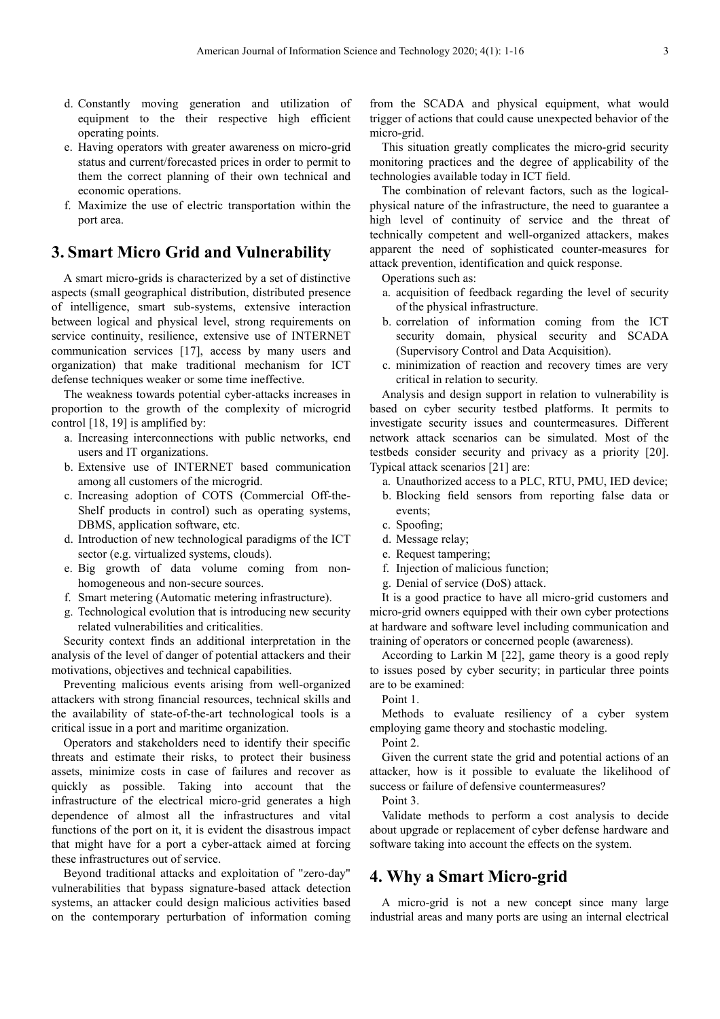- d. Constantly moving generation and utilization of equipment to the their respective high efficient operating points.
- e. Having operators with greater awareness on micro-grid status and current/forecasted prices in order to permit to them the correct planning of their own technical and economic operations.
- f. Maximize the use of electric transportation within the port area.

## **3. Smart Micro Grid and Vulnerability**

A smart micro-grids is characterized by a set of distinctive aspects (small geographical distribution, distributed presence of intelligence, smart sub-systems, extensive interaction between logical and physical level, strong requirements on service continuity, resilience, extensive use of INTERNET communication services [17], access by many users and organization) that make traditional mechanism for ICT defense techniques weaker or some time ineffective.

The weakness towards potential cyber-attacks increases in proportion to the growth of the complexity of microgrid control [18, 19] is amplified by:

- a. Increasing interconnections with public networks, end users and IT organizations.
- b. Extensive use of INTERNET based communication among all customers of the microgrid.
- c. Increasing adoption of COTS (Commercial Off-the-Shelf products in control) such as operating systems, DBMS, application software, etc.
- d. Introduction of new technological paradigms of the ICT sector (e.g. virtualized systems, clouds).
- e. Big growth of data volume coming from nonhomogeneous and non-secure sources.
- f. Smart metering (Automatic metering infrastructure).
- g. Technological evolution that is introducing new security related vulnerabilities and criticalities.

Security context finds an additional interpretation in the analysis of the level of danger of potential attackers and their motivations, objectives and technical capabilities.

Preventing malicious events arising from well-organized attackers with strong financial resources, technical skills and the availability of state-of-the-art technological tools is a critical issue in a port and maritime organization.

Operators and stakeholders need to identify their specific threats and estimate their risks, to protect their business assets, minimize costs in case of failures and recover as quickly as possible. Taking into account that the infrastructure of the electrical micro-grid generates a high dependence of almost all the infrastructures and vital functions of the port on it, it is evident the disastrous impact that might have for a port a cyber-attack aimed at forcing these infrastructures out of service.

Beyond traditional attacks and exploitation of "zero-day" vulnerabilities that bypass signature-based attack detection systems, an attacker could design malicious activities based on the contemporary perturbation of information coming from the SCADA and physical equipment, what would trigger of actions that could cause unexpected behavior of the micro-grid.

This situation greatly complicates the micro-grid security monitoring practices and the degree of applicability of the technologies available today in ICT field.

The combination of relevant factors, such as the logicalphysical nature of the infrastructure, the need to guarantee a high level of continuity of service and the threat of technically competent and well-organized attackers, makes apparent the need of sophisticated counter-measures for attack prevention, identification and quick response.

Operations such as:

- a. acquisition of feedback regarding the level of security of the physical infrastructure.
- b. correlation of information coming from the ICT security domain, physical security and SCADA (Supervisory Control and Data Acquisition).
- c. minimization of reaction and recovery times are very critical in relation to security.

Analysis and design support in relation to vulnerability is based on cyber security testbed platforms. It permits to investigate security issues and countermeasures. Different network attack scenarios can be simulated. Most of the testbeds consider security and privacy as a priority [20]. Typical attack scenarios [21] are:

- a. Unauthorized access to a PLC, RTU, PMU, IED device;
- b. Blocking field sensors from reporting false data or events;
- c. Spoofing;
- d. Message relay;
- e. Request tampering;
- f. Injection of malicious function;
- g. Denial of service (DoS) attack.

It is a good practice to have all micro-grid customers and micro-grid owners equipped with their own cyber protections at hardware and software level including communication and training of operators or concerned people (awareness).

According to Larkin M [22], game theory is a good reply to issues posed by cyber security; in particular three points are to be examined:

Point 1.

Methods to evaluate resiliency of a cyber system employing game theory and stochastic modeling.

Point 2.

Given the current state the grid and potential actions of an attacker, how is it possible to evaluate the likelihood of success or failure of defensive countermeasures?

Point 3.

Validate methods to perform a cost analysis to decide about upgrade or replacement of cyber defense hardware and software taking into account the effects on the system.

## **4. Why a Smart Micro-grid**

A micro-grid is not a new concept since many large industrial areas and many ports are using an internal electrical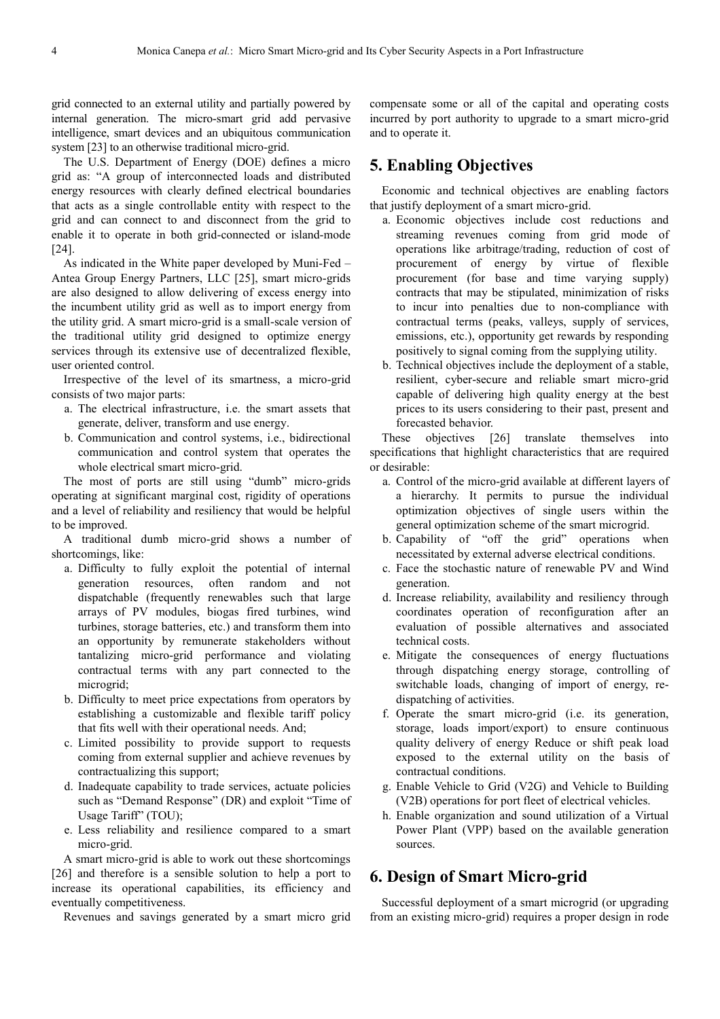grid connected to an external utility and partially powered by internal generation. The micro-smart grid add pervasive intelligence, smart devices and an ubiquitous communication system [23] to an otherwise traditional micro-grid.

The U.S. Department of Energy (DOE) defines a micro grid as: "A group of interconnected loads and distributed energy resources with clearly defined electrical boundaries that acts as a single controllable entity with respect to the grid and can connect to and disconnect from the grid to enable it to operate in both grid-connected or island-mode [24].

As indicated in the White paper developed by Muni-Fed – Antea Group Energy Partners, LLC [25], smart micro-grids are also designed to allow delivering of excess energy into the incumbent utility grid as well as to import energy from the utility grid. A smart micro-grid is a small-scale version of the traditional utility grid designed to optimize energy services through its extensive use of decentralized flexible, user oriented control.

Irrespective of the level of its smartness, a micro-grid consists of two major parts:

- a. The electrical infrastructure, i.e. the smart assets that generate, deliver, transform and use energy.
- b. Communication and control systems, i.e., bidirectional communication and control system that operates the whole electrical smart micro-grid.

The most of ports are still using "dumb" micro-grids operating at significant marginal cost, rigidity of operations and a level of reliability and resiliency that would be helpful to be improved.

A traditional dumb micro-grid shows a number of shortcomings, like:

- a. Difficulty to fully exploit the potential of internal generation resources, often random and not dispatchable (frequently renewables such that large arrays of PV modules, biogas fired turbines, wind turbines, storage batteries, etc.) and transform them into an opportunity by remunerate stakeholders without tantalizing micro-grid performance and violating contractual terms with any part connected to the microgrid;
- b. Difficulty to meet price expectations from operators by establishing a customizable and flexible tariff policy that fits well with their operational needs. And;
- c. Limited possibility to provide support to requests coming from external supplier and achieve revenues by contractualizing this support;
- d. Inadequate capability to trade services, actuate policies such as "Demand Response" (DR) and exploit "Time of Usage Tariff" (TOU);
- e. Less reliability and resilience compared to a smart micro-grid.

A smart micro-grid is able to work out these shortcomings [26] and therefore is a sensible solution to help a port to increase its operational capabilities, its efficiency and eventually competitiveness.

Revenues and savings generated by a smart micro grid

compensate some or all of the capital and operating costs incurred by port authority to upgrade to a smart micro-grid and to operate it.

## **5. Enabling Objectives**

Economic and technical objectives are enabling factors that justify deployment of a smart micro-grid.

- a. Economic objectives include cost reductions and streaming revenues coming from grid mode of operations like arbitrage/trading, reduction of cost of procurement of energy by virtue of flexible procurement (for base and time varying supply) contracts that may be stipulated, minimization of risks to incur into penalties due to non-compliance with contractual terms (peaks, valleys, supply of services, emissions, etc.), opportunity get rewards by responding positively to signal coming from the supplying utility.
- b. Technical objectives include the deployment of a stable, resilient, cyber-secure and reliable smart micro-grid capable of delivering high quality energy at the best prices to its users considering to their past, present and forecasted behavior.

These objectives [26] translate themselves into specifications that highlight characteristics that are required or desirable:

- a. Control of the micro-grid available at different layers of a hierarchy. It permits to pursue the individual optimization objectives of single users within the general optimization scheme of the smart microgrid.
- b. Capability of "off the grid" operations when necessitated by external adverse electrical conditions.
- c. Face the stochastic nature of renewable PV and Wind generation.
- d. Increase reliability, availability and resiliency through coordinates operation of reconfiguration after an evaluation of possible alternatives and associated technical costs.
- e. Mitigate the consequences of energy fluctuations through dispatching energy storage, controlling of switchable loads, changing of import of energy, redispatching of activities.
- f. Operate the smart micro-grid (i.e. its generation, storage, loads import/export) to ensure continuous quality delivery of energy Reduce or shift peak load exposed to the external utility on the basis of contractual conditions.
- g. Enable Vehicle to Grid (V2G) and Vehicle to Building (V2B) operations for port fleet of electrical vehicles.
- h. Enable organization and sound utilization of a Virtual Power Plant (VPP) based on the available generation sources.

### **6. Design of Smart Micro-grid**

Successful deployment of a smart microgrid (or upgrading from an existing micro-grid) requires a proper design in rode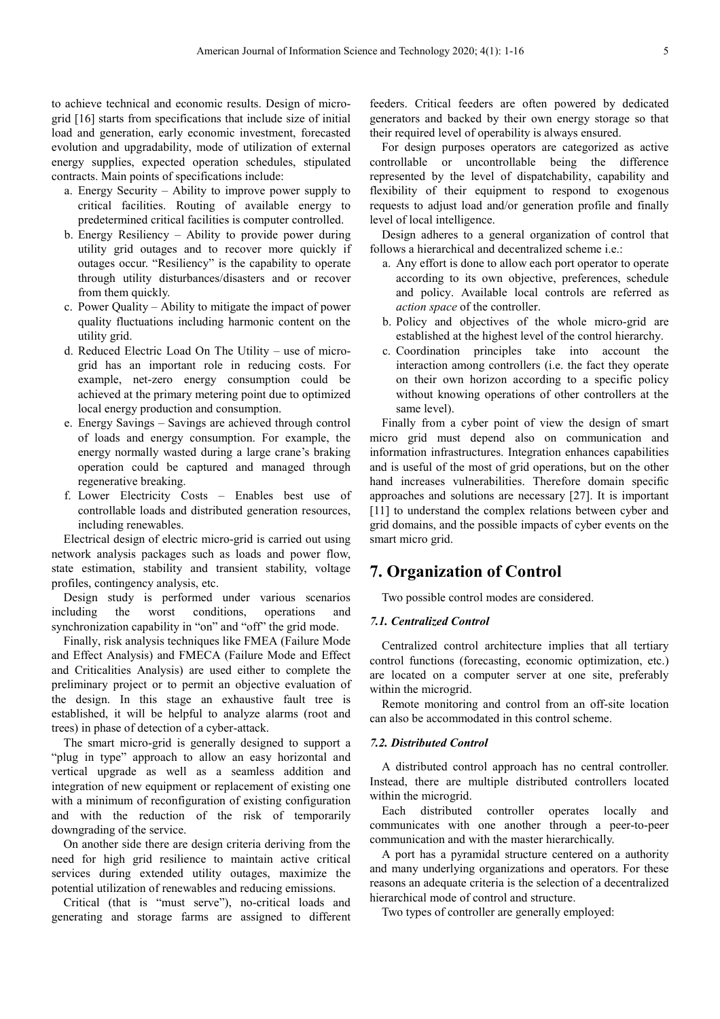to achieve technical and economic results. Design of microgrid [16] starts from specifications that include size of initial load and generation, early economic investment, forecasted evolution and upgradability, mode of utilization of external energy supplies, expected operation schedules, stipulated contracts. Main points of specifications include:

- a. Energy Security Ability to improve power supply to critical facilities. Routing of available energy to predetermined critical facilities is computer controlled.
- b. Energy Resiliency Ability to provide power during utility grid outages and to recover more quickly if outages occur. "Resiliency" is the capability to operate through utility disturbances/disasters and or recover from them quickly.
- c. Power Quality Ability to mitigate the impact of power quality fluctuations including harmonic content on the utility grid.
- d. Reduced Electric Load On The Utility use of microgrid has an important role in reducing costs. For example, net-zero energy consumption could be achieved at the primary metering point due to optimized local energy production and consumption.
- e. Energy Savings Savings are achieved through control of loads and energy consumption. For example, the energy normally wasted during a large crane's braking operation could be captured and managed through regenerative breaking.
- f. Lower Electricity Costs Enables best use of controllable loads and distributed generation resources, including renewables.

Electrical design of electric micro-grid is carried out using network analysis packages such as loads and power flow, state estimation, stability and transient stability, voltage profiles, contingency analysis, etc.

Design study is performed under various scenarios including the worst conditions, operations and synchronization capability in "on" and "off" the grid mode.

Finally, risk analysis techniques like FMEA (Failure Mode and Effect Analysis) and FMECA (Failure Mode and Effect and Criticalities Analysis) are used either to complete the preliminary project or to permit an objective evaluation of the design. In this stage an exhaustive fault tree is established, it will be helpful to analyze alarms (root and trees) in phase of detection of a cyber-attack.

The smart micro-grid is generally designed to support a "plug in type" approach to allow an easy horizontal and vertical upgrade as well as a seamless addition and integration of new equipment or replacement of existing one with a minimum of reconfiguration of existing configuration and with the reduction of the risk of temporarily downgrading of the service.

On another side there are design criteria deriving from the need for high grid resilience to maintain active critical services during extended utility outages, maximize the potential utilization of renewables and reducing emissions.

Critical (that is "must serve"), no-critical loads and generating and storage farms are assigned to different feeders. Critical feeders are often powered by dedicated generators and backed by their own energy storage so that their required level of operability is always ensured.

For design purposes operators are categorized as active controllable or uncontrollable being the difference represented by the level of dispatchability, capability and flexibility of their equipment to respond to exogenous requests to adjust load and/or generation profile and finally level of local intelligence.

Design adheres to a general organization of control that follows a hierarchical and decentralized scheme i.e.:

- a. Any effort is done to allow each port operator to operate according to its own objective, preferences, schedule and policy. Available local controls are referred as *action space* of the controller.
- b. Policy and objectives of the whole micro-grid are established at the highest level of the control hierarchy.
- c. Coordination principles take into account the interaction among controllers (i.e. the fact they operate on their own horizon according to a specific policy without knowing operations of other controllers at the same level).

Finally from a cyber point of view the design of smart micro grid must depend also on communication and information infrastructures. Integration enhances capabilities and is useful of the most of grid operations, but on the other hand increases vulnerabilities. Therefore domain specific approaches and solutions are necessary [27]. It is important [11] to understand the complex relations between cyber and grid domains, and the possible impacts of cyber events on the smart micro grid.

# **7. Organization of Control**

Two possible control modes are considered.

#### *7.1. Centralized Control*

Centralized control architecture implies that all tertiary control functions (forecasting, economic optimization, etc.) are located on a computer server at one site, preferably within the microgrid.

Remote monitoring and control from an off-site location can also be accommodated in this control scheme.

#### *7.2. Distributed Control*

A distributed control approach has no central controller. Instead, there are multiple distributed controllers located within the microgrid.

Each distributed controller operates locally and communicates with one another through a peer-to-peer communication and with the master hierarchically.

A port has a pyramidal structure centered on a authority and many underlying organizations and operators. For these reasons an adequate criteria is the selection of a decentralized hierarchical mode of control and structure.

Two types of controller are generally employed: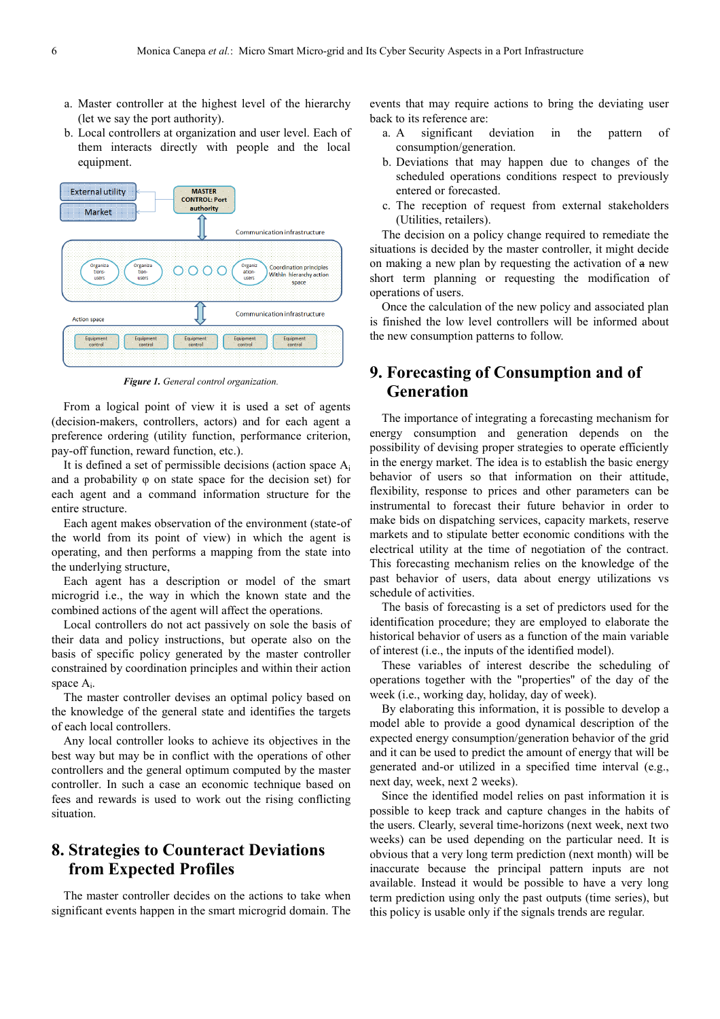- a. Master controller at the highest level of the hierarchy (let we say the port authority).
- b. Local controllers at organization and user level. Each of them interacts directly with people and the local equipment.



*Figure 1. General control organization.* 

From a logical point of view it is used a set of agents (decision-makers, controllers, actors) and for each agent a preference ordering (utility function, performance criterion, pay-off function, reward function, etc.).

It is defined a set of permissible decisions (action space A<sup>i</sup> and a probability φ on state space for the decision set) for each agent and a command information structure for the entire structure.

Each agent makes observation of the environment (state-of the world from its point of view) in which the agent is operating, and then performs a mapping from the state into the underlying structure,

Each agent has a description or model of the smart microgrid i.e., the way in which the known state and the combined actions of the agent will affect the operations.

Local controllers do not act passively on sole the basis of their data and policy instructions, but operate also on the basis of specific policy generated by the master controller constrained by coordination principles and within their action space  $A_i$ .

The master controller devises an optimal policy based on the knowledge of the general state and identifies the targets of each local controllers.

Any local controller looks to achieve its objectives in the best way but may be in conflict with the operations of other controllers and the general optimum computed by the master controller. In such a case an economic technique based on fees and rewards is used to work out the rising conflicting situation.

# **8. Strategies to Counteract Deviations from Expected Profiles**

The master controller decides on the actions to take when significant events happen in the smart microgrid domain. The events that may require actions to bring the deviating user back to its reference are:

- a. A significant deviation in the pattern of consumption/generation.
- b. Deviations that may happen due to changes of the scheduled operations conditions respect to previously entered or forecasted.
- c. The reception of request from external stakeholders (Utilities, retailers).

The decision on a policy change required to remediate the situations is decided by the master controller, it might decide on making a new plan by requesting the activation of a new short term planning or requesting the modification of operations of users.

Once the calculation of the new policy and associated plan is finished the low level controllers will be informed about the new consumption patterns to follow.

# **9. Forecasting of Consumption and of Generation**

The importance of integrating a forecasting mechanism for energy consumption and generation depends on the possibility of devising proper strategies to operate efficiently in the energy market. The idea is to establish the basic energy behavior of users so that information on their attitude, flexibility, response to prices and other parameters can be instrumental to forecast their future behavior in order to make bids on dispatching services, capacity markets, reserve markets and to stipulate better economic conditions with the electrical utility at the time of negotiation of the contract. This forecasting mechanism relies on the knowledge of the past behavior of users, data about energy utilizations vs schedule of activities.

The basis of forecasting is a set of predictors used for the identification procedure; they are employed to elaborate the historical behavior of users as a function of the main variable of interest (i.e., the inputs of the identified model).

These variables of interest describe the scheduling of operations together with the "properties" of the day of the week (i.e., working day, holiday, day of week).

By elaborating this information, it is possible to develop a model able to provide a good dynamical description of the expected energy consumption/generation behavior of the grid and it can be used to predict the amount of energy that will be generated and-or utilized in a specified time interval (e.g., next day, week, next 2 weeks).

Since the identified model relies on past information it is possible to keep track and capture changes in the habits of the users. Clearly, several time-horizons (next week, next two weeks) can be used depending on the particular need. It is obvious that a very long term prediction (next month) will be inaccurate because the principal pattern inputs are not available. Instead it would be possible to have a very long term prediction using only the past outputs (time series), but this policy is usable only if the signals trends are regular.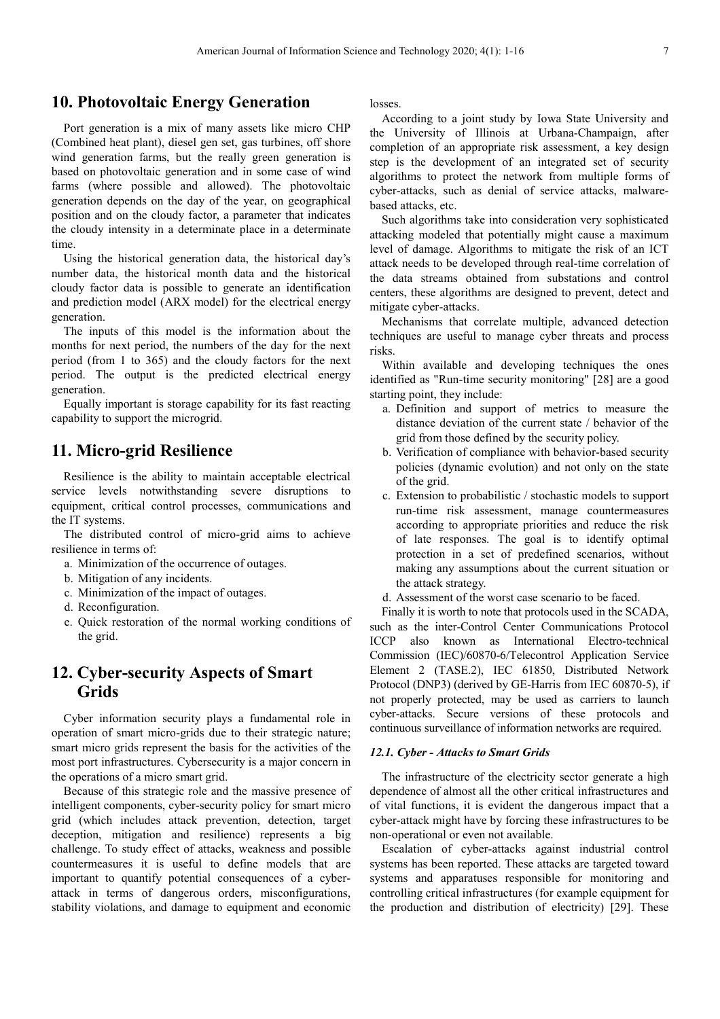### **10. Photovoltaic Energy Generation**

Port generation is a mix of many assets like micro CHP (Combined heat plant), diesel gen set, gas turbines, off shore wind generation farms, but the really green generation is based on photovoltaic generation and in some case of wind farms (where possible and allowed). The photovoltaic generation depends on the day of the year, on geographical position and on the cloudy factor, a parameter that indicates the cloudy intensity in a determinate place in a determinate time.

Using the historical generation data, the historical day's number data, the historical month data and the historical cloudy factor data is possible to generate an identification and prediction model (ARX model) for the electrical energy generation.

The inputs of this model is the information about the months for next period, the numbers of the day for the next period (from 1 to 365) and the cloudy factors for the next period. The output is the predicted electrical energy generation.

Equally important is storage capability for its fast reacting capability to support the microgrid.

# **11. Micro-grid Resilience**

Resilience is the ability to maintain acceptable electrical service levels notwithstanding severe disruptions to equipment, critical control processes, communications and the IT systems.

The distributed control of micro-grid aims to achieve resilience in terms of:

- a. Minimization of the occurrence of outages.
- b. Mitigation of any incidents.
- c. Minimization of the impact of outages.
- d. Reconfiguration.
- e. Quick restoration of the normal working conditions of the grid.

# **12. Cyber-security Aspects of Smart Grids**

Cyber information security plays a fundamental role in operation of smart micro-grids due to their strategic nature; smart micro grids represent the basis for the activities of the most port infrastructures. Cybersecurity is a major concern in the operations of a micro smart grid.

Because of this strategic role and the massive presence of intelligent components, cyber-security policy for smart micro grid (which includes attack prevention, detection, target deception, mitigation and resilience) represents a big challenge. To study effect of attacks, weakness and possible countermeasures it is useful to define models that are important to quantify potential consequences of a cyberattack in terms of dangerous orders, misconfigurations, stability violations, and damage to equipment and economic

losses.

According to a joint study by Iowa State University and the University of Illinois at Urbana-Champaign, after completion of an appropriate risk assessment, a key design step is the development of an integrated set of security algorithms to protect the network from multiple forms of cyber-attacks, such as denial of service attacks, malwarebased attacks, etc.

Such algorithms take into consideration very sophisticated attacking modeled that potentially might cause a maximum level of damage. Algorithms to mitigate the risk of an ICT attack needs to be developed through real-time correlation of the data streams obtained from substations and control centers, these algorithms are designed to prevent, detect and mitigate cyber-attacks.

Mechanisms that correlate multiple, advanced detection techniques are useful to manage cyber threats and process risks.

Within available and developing techniques the ones identified as "Run-time security monitoring" [28] are a good starting point, they include:

- a. Definition and support of metrics to measure the distance deviation of the current state / behavior of the grid from those defined by the security policy.
- b. Verification of compliance with behavior-based security policies (dynamic evolution) and not only on the state of the grid.
- c. Extension to probabilistic / stochastic models to support run-time risk assessment, manage countermeasures according to appropriate priorities and reduce the risk of late responses. The goal is to identify optimal protection in a set of predefined scenarios, without making any assumptions about the current situation or the attack strategy.
- d. Assessment of the worst case scenario to be faced.

Finally it is worth to note that protocols used in the SCADA, such as the inter-Control Center Communications Protocol ICCP also known as International Electro-technical Commission (IEC)/60870-6/Telecontrol Application Service Element 2 (TASE.2), IEC 61850, Distributed Network Protocol (DNP3) (derived by GE-Harris from IEC 60870-5), if not properly protected, may be used as carriers to launch cyber-attacks. Secure versions of these protocols and continuous surveillance of information networks are required.

#### *12.1. Cyber - Attacks to Smart Grids*

The infrastructure of the electricity sector generate a high dependence of almost all the other critical infrastructures and of vital functions, it is evident the dangerous impact that a cyber-attack might have by forcing these infrastructures to be non-operational or even not available.

Escalation of cyber-attacks against industrial control systems has been reported. These attacks are targeted toward systems and apparatuses responsible for monitoring and controlling critical infrastructures (for example equipment for the production and distribution of electricity) [29]. These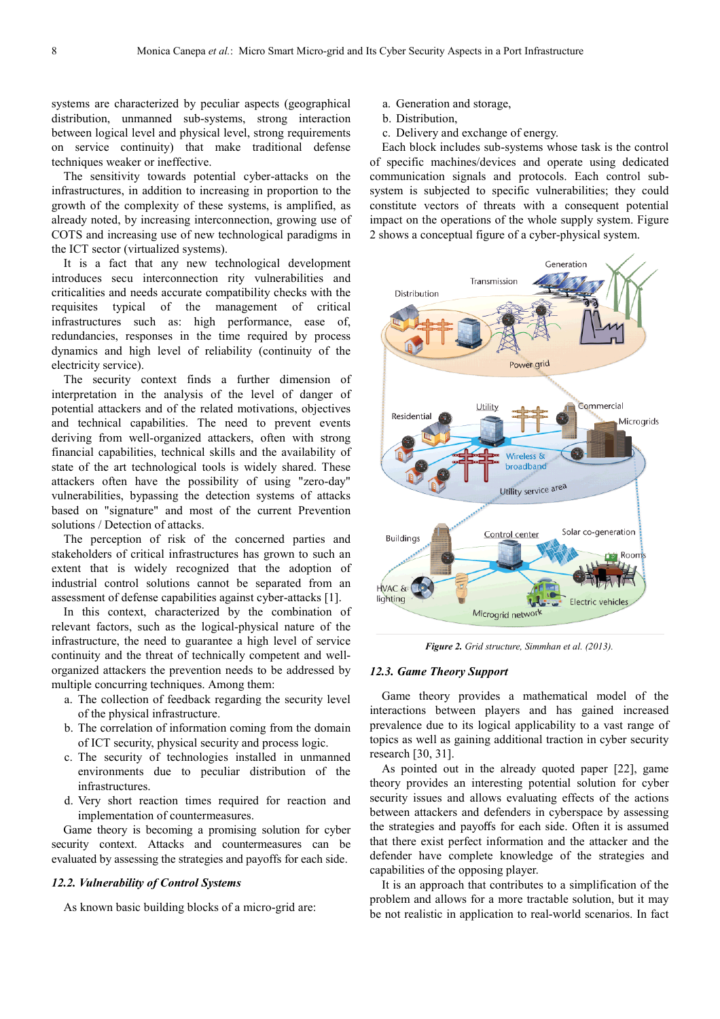systems are characterized by peculiar aspects (geographical distribution, unmanned sub-systems, strong interaction between logical level and physical level, strong requirements on service continuity) that make traditional defense techniques weaker or ineffective.

The sensitivity towards potential cyber-attacks on the infrastructures, in addition to increasing in proportion to the growth of the complexity of these systems, is amplified, as already noted, by increasing interconnection, growing use of COTS and increasing use of new technological paradigms in the ICT sector (virtualized systems).

It is a fact that any new technological development introduces secu interconnection rity vulnerabilities and criticalities and needs accurate compatibility checks with the requisites typical of the management of critical infrastructures such as: high performance, ease of, redundancies, responses in the time required by process dynamics and high level of reliability (continuity of the electricity service).

The security context finds a further dimension of interpretation in the analysis of the level of danger of potential attackers and of the related motivations, objectives and technical capabilities. The need to prevent events deriving from well-organized attackers, often with strong financial capabilities, technical skills and the availability of state of the art technological tools is widely shared. These attackers often have the possibility of using "zero-day" vulnerabilities, bypassing the detection systems of attacks based on "signature" and most of the current Prevention solutions / Detection of attacks.

The perception of risk of the concerned parties and stakeholders of critical infrastructures has grown to such an extent that is widely recognized that the adoption of industrial control solutions cannot be separated from an assessment of defense capabilities against cyber-attacks [1].

In this context, characterized by the combination of relevant factors, such as the logical-physical nature of the infrastructure, the need to guarantee a high level of service continuity and the threat of technically competent and wellorganized attackers the prevention needs to be addressed by multiple concurring techniques. Among them:

- a. The collection of feedback regarding the security level of the physical infrastructure.
- b. The correlation of information coming from the domain of ICT security, physical security and process logic.
- c. The security of technologies installed in unmanned environments due to peculiar distribution of the infrastructures.
- d. Very short reaction times required for reaction and implementation of countermeasures.

Game theory is becoming a promising solution for cyber security context. Attacks and countermeasures can be evaluated by assessing the strategies and payoffs for each side.

#### *12.2. Vulnerability of Control Systems*

As known basic building blocks of a micro-grid are:

- a. Generation and storage,
- b. Distribution,
- c. Delivery and exchange of energy.

Each block includes sub-systems whose task is the control of specific machines/devices and operate using dedicated communication signals and protocols. Each control subsystem is subjected to specific vulnerabilities; they could constitute vectors of threats with a consequent potential impact on the operations of the whole supply system. Figure 2 shows a conceptual figure of a cyber-physical system.



*Figure 2. Grid structure, Simmhan et al. (2013).* 

#### *12.3. Game Theory Support*

Game theory provides a mathematical model of the interactions between players and has gained increased prevalence due to its logical applicability to a vast range of topics as well as gaining additional traction in cyber security research [30, 31].

As pointed out in the already quoted paper [22], game theory provides an interesting potential solution for cyber security issues and allows evaluating effects of the actions between attackers and defenders in cyberspace by assessing the strategies and payoffs for each side. Often it is assumed that there exist perfect information and the attacker and the defender have complete knowledge of the strategies and capabilities of the opposing player.

It is an approach that contributes to a simplification of the problem and allows for a more tractable solution, but it may be not realistic in application to real-world scenarios. In fact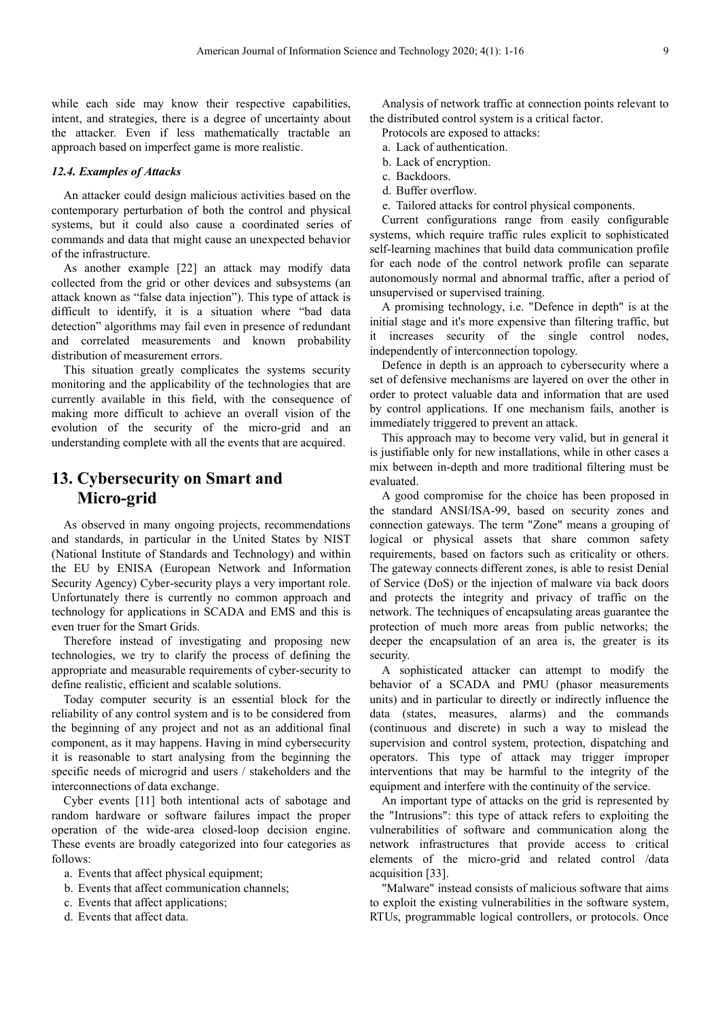while each side may know their respective capabilities, intent, and strategies, there is a degree of uncertainty about the attacker. Even if less mathematically tractable an approach based on imperfect game is more realistic.

#### *12.4. Examples of Attacks*

An attacker could design malicious activities based on the contemporary perturbation of both the control and physical systems, but it could also cause a coordinated series of commands and data that might cause an unexpected behavior of the infrastructure.

As another example [22] an attack may modify data collected from the grid or other devices and subsystems (an attack known as "false data injection"). This type of attack is difficult to identify, it is a situation where "bad data detection" algorithms may fail even in presence of redundant and correlated measurements and known probability distribution of measurement errors.

This situation greatly complicates the systems security monitoring and the applicability of the technologies that are currently available in this field, with the consequence of making more difficult to achieve an overall vision of the evolution of the security of the micro-grid and an understanding complete with all the events that are acquired.

# **13. Cybersecurity on Smart and Micro-grid**

As observed in many ongoing projects, recommendations and standards, in particular in the United States by NIST (National Institute of Standards and Technology) and within the EU by ENISA (European Network and Information Security Agency) Cyber-security plays a very important role. Unfortunately there is currently no common approach and technology for applications in SCADA and EMS and this is even truer for the Smart Grids.

Therefore instead of investigating and proposing new technologies, we try to clarify the process of defining the appropriate and measurable requirements of cyber-security to define realistic, efficient and scalable solutions.

Today computer security is an essential block for the reliability of any control system and is to be considered from the beginning of any project and not as an additional final component, as it may happens. Having in mind cybersecurity it is reasonable to start analysing from the beginning the specific needs of microgrid and users / stakeholders and the interconnections of data exchange.

Cyber events [11] both intentional acts of sabotage and random hardware or software failures impact the proper operation of the wide-area closed-loop decision engine. These events are broadly categorized into four categories as follows:

- a. Events that affect physical equipment;
- b. Events that affect communication channels;
- c. Events that affect applications;
- d. Events that affect data.

Analysis of network traffic at connection points relevant to the distributed control system is a critical factor.

Protocols are exposed to attacks:

- a. Lack of authentication.
- b. Lack of encryption.
- c. Backdoors.
- d. Buffer overflow.
- e. Tailored attacks for control physical components.

Current configurations range from easily configurable systems, which require traffic rules explicit to sophisticated self-learning machines that build data communication profile for each node of the control network profile can separate autonomously normal and abnormal traffic, after a period of unsupervised or supervised training.

A promising technology, i.e. "Defence in depth" is at the initial stage and it's more expensive than filtering traffic, but it increases security of the single control nodes, independently of interconnection topology.

Defence in depth is an approach to cybersecurity where a set of defensive mechanisms are layered on over the other in order to protect valuable data and information that are used by control applications. If one mechanism fails, another is immediately triggered to prevent an attack.

This approach may to become very valid, but in general it is justifiable only for new installations, while in other cases a mix between in-depth and more traditional filtering must be evaluated.

A good compromise for the choice has been proposed in the standard ANSI/ISA-99, based on security zones and connection gateways. The term "Zone" means a grouping of logical or physical assets that share common safety requirements, based on factors such as criticality or others. The gateway connects different zones, is able to resist Denial of Service (DoS) or the injection of malware via back doors and protects the integrity and privacy of traffic on the network. The techniques of encapsulating areas guarantee the protection of much more areas from public networks; the deeper the encapsulation of an area is, the greater is its security.

A sophisticated attacker can attempt to modify the behavior of a SCADA and PMU (phasor measurements units) and in particular to directly or indirectly influence the data (states, measures, alarms) and the commands (continuous and discrete) in such a way to mislead the supervision and control system, protection, dispatching and operators. This type of attack may trigger improper interventions that may be harmful to the integrity of the equipment and interfere with the continuity of the service.

An important type of attacks on the grid is represented by the "Intrusions": this type of attack refers to exploiting the vulnerabilities of software and communication along the network infrastructures that provide access to critical elements of the micro-grid and related control /data acquisition [33].

"Malware" instead consists of malicious software that aims to exploit the existing vulnerabilities in the software system, RTUs, programmable logical controllers, or protocols. Once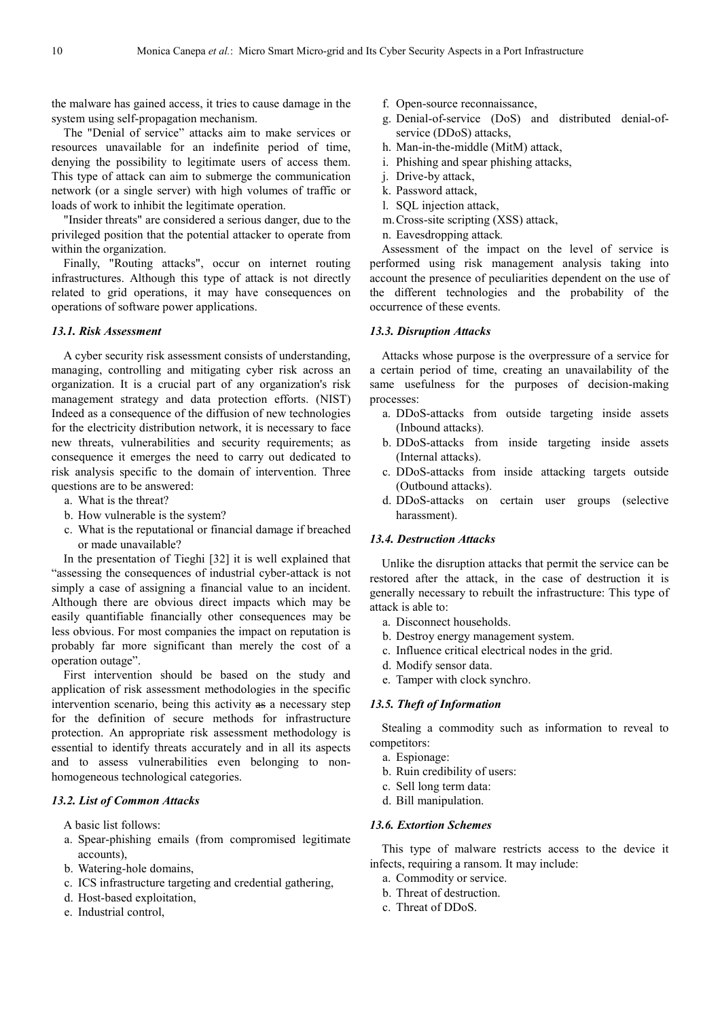the malware has gained access, it tries to cause damage in the system using self-propagation mechanism.

The "Denial of service" attacks aim to make services or resources unavailable for an indefinite period of time, denying the possibility to legitimate users of access them. This type of attack can aim to submerge the communication network (or a single server) with high volumes of traffic or loads of work to inhibit the legitimate operation.

"Insider threats" are considered a serious danger, due to the privileged position that the potential attacker to operate from within the organization.

Finally, "Routing attacks", occur on internet routing infrastructures. Although this type of attack is not directly related to grid operations, it may have consequences on operations of software power applications.

#### *13.1. Risk Assessment*

A cyber security risk assessment consists of understanding, managing, controlling and mitigating cyber risk across an organization. It is a crucial part of any organization's risk management strategy and data protection efforts. (NIST) Indeed as a consequence of the diffusion of new technologies for the electricity distribution network, it is necessary to face new threats, vulnerabilities and security requirements; as consequence it emerges the need to carry out dedicated to risk analysis specific to the domain of intervention. Three questions are to be answered:

- a. What is the threat?
- b. How vulnerable is the system?
- c. What is the reputational or financial damage if breached or made unavailable?

In the presentation of Tieghi [32] it is well explained that "assessing the consequences of industrial cyber-attack is not simply a case of assigning a financial value to an incident. Although there are obvious direct impacts which may be easily quantifiable financially other consequences may be less obvious. For most companies the impact on reputation is probably far more significant than merely the cost of a operation outage".

First intervention should be based on the study and application of risk assessment methodologies in the specific intervention scenario, being this activity as a necessary step for the definition of secure methods for infrastructure protection. An appropriate risk assessment methodology is essential to identify threats accurately and in all its aspects and to assess vulnerabilities even belonging to nonhomogeneous technological categories.

#### *13.2. List of Common Attacks*

A basic list follows:

- a. Spear-phishing emails (from compromised legitimate accounts),
- b. Watering-hole domains,
- c. ICS infrastructure targeting and credential gathering,
- d. Host-based exploitation,
- e. Industrial control,
- f. Open-source reconnaissance,
- g. Denial-of-service (DoS) and distributed denial-ofservice (DDoS) attacks,
- h. Man-in-the-middle (MitM) attack,
- i. Phishing and spear phishing attacks,
- j. Drive-by attack,
- k. Password attack,
- l. SQL injection attack,
- m.Cross-site scripting (XSS) attack,
- n. Eavesdropping attack*.*

Assessment of the impact on the level of service is performed using risk management analysis taking into account the presence of peculiarities dependent on the use of the different technologies and the probability of the occurrence of these events.

#### *13.3. Disruption Attacks*

Attacks whose purpose is the overpressure of a service for a certain period of time, creating an unavailability of the same usefulness for the purposes of decision-making processes:

- a. DDoS-attacks from outside targeting inside assets (Inbound attacks).
- b. DDoS-attacks from inside targeting inside assets (Internal attacks).
- c. DDoS-attacks from inside attacking targets outside (Outbound attacks).
- d. DDoS-attacks on certain user groups (selective harassment).

#### *13.4. Destruction Attacks*

Unlike the disruption attacks that permit the service can be restored after the attack, in the case of destruction it is generally necessary to rebuilt the infrastructure: This type of attack is able to:

- a. Disconnect households.
- b. Destroy energy management system.
- c. Influence critical electrical nodes in the grid.
- d. Modify sensor data.
- e. Tamper with clock synchro.

#### *13.5. Theft of Information*

Stealing a commodity such as information to reveal to competitors:

- a. Espionage:
- b. Ruin credibility of users:
- c. Sell long term data:
- d. Bill manipulation.

#### *13.6. Extortion Schemes*

This type of malware restricts access to the device it infects, requiring a ransom. It may include:

- a. Commodity or service.
- b. Threat of destruction.
- c. Threat of DDoS.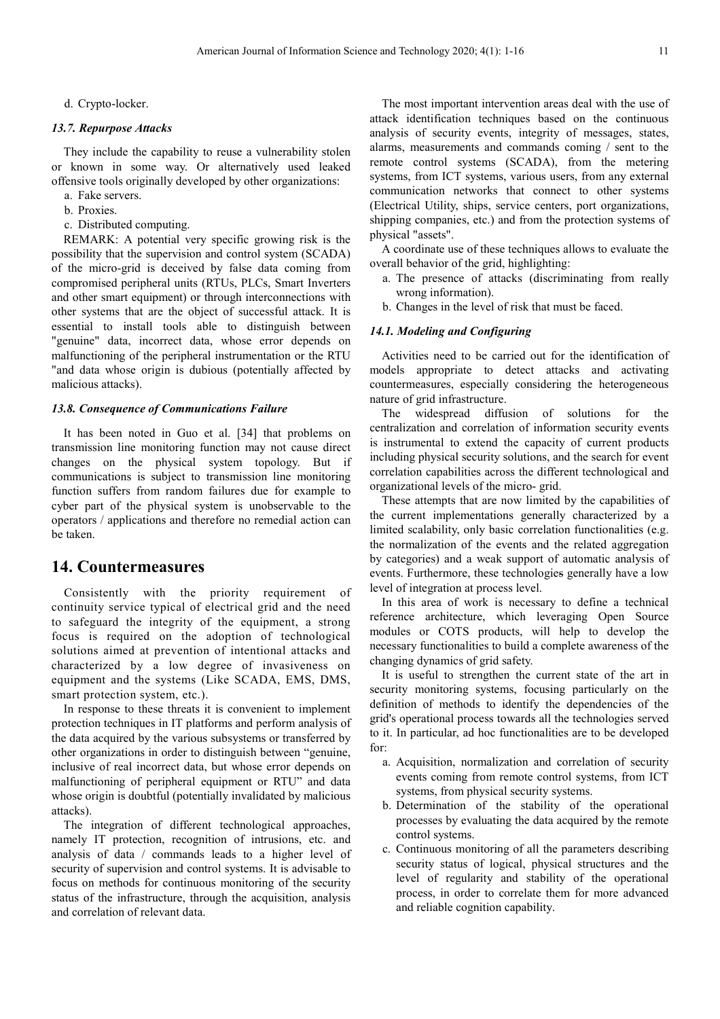d. Crypto-locker.

#### *13.7. Repurpose Attacks*

They include the capability to reuse a vulnerability stolen or known in some way. Or alternatively used leaked offensive tools originally developed by other organizations:

- a. Fake servers.
- b. Proxies.
- c. Distributed computing.

REMARK: A potential very specific growing risk is the possibility that the supervision and control system (SCADA) of the micro-grid is deceived by false data coming from compromised peripheral units (RTUs, PLCs, Smart Inverters and other smart equipment) or through interconnections with other systems that are the object of successful attack. It is essential to install tools able to distinguish between "genuine" data, incorrect data, whose error depends on malfunctioning of the peripheral instrumentation or the RTU "and data whose origin is dubious (potentially affected by malicious attacks).

#### *13.8. Consequence of Communications Failure*

It has been noted in Guo et al. [34] that problems on transmission line monitoring function may not cause direct changes on the physical system topology. But if communications is subject to transmission line monitoring function suffers from random failures due for example to cyber part of the physical system is unobservable to the operators / applications and therefore no remedial action can be taken.

### **14. Countermeasures**

Consistently with the priority requirement of continuity service typical of electrical grid and the need to safeguard the integrity of the equipment, a strong focus is required on the adoption of technological solutions aimed at prevention of intentional attacks and characterized by a low degree of invasiveness on equipment and the systems (Like SCADA, EMS, DMS, smart protection system, etc.).

In response to these threats it is convenient to implement protection techniques in IT platforms and perform analysis of the data acquired by the various subsystems or transferred by other organizations in order to distinguish between "genuine, inclusive of real incorrect data, but whose error depends on malfunctioning of peripheral equipment or RTU" and data whose origin is doubtful (potentially invalidated by malicious attacks).

The integration of different technological approaches, namely IT protection, recognition of intrusions, etc. and analysis of data / commands leads to a higher level of security of supervision and control systems. It is advisable to focus on methods for continuous monitoring of the security status of the infrastructure, through the acquisition, analysis and correlation of relevant data.

The most important intervention areas deal with the use of attack identification techniques based on the continuous analysis of security events, integrity of messages, states, alarms, measurements and commands coming / sent to the remote control systems (SCADA), from the metering systems, from ICT systems, various users, from any external communication networks that connect to other systems (Electrical Utility, ships, service centers, port organizations, shipping companies, etc.) and from the protection systems of physical "assets".

A coordinate use of these techniques allows to evaluate the overall behavior of the grid, highlighting:

- a. The presence of attacks (discriminating from really wrong information).
- b. Changes in the level of risk that must be faced.

#### *14.1. Modeling and Configuring*

Activities need to be carried out for the identification of models appropriate to detect attacks and activating countermeasures, especially considering the heterogeneous nature of grid infrastructure.

The widespread diffusion of solutions for the centralization and correlation of information security events is instrumental to extend the capacity of current products including physical security solutions, and the search for event correlation capabilities across the different technological and organizational levels of the micro- grid.

These attempts that are now limited by the capabilities of the current implementations generally characterized by a limited scalability, only basic correlation functionalities (e.g. the normalization of the events and the related aggregation by categories) and a weak support of automatic analysis of events. Furthermore, these technologies generally have a low level of integration at process level.

In this area of work is necessary to define a technical reference architecture, which leveraging Open Source modules or COTS products, will help to develop the necessary functionalities to build a complete awareness of the changing dynamics of grid safety.

It is useful to strengthen the current state of the art in security monitoring systems, focusing particularly on the definition of methods to identify the dependencies of the grid's operational process towards all the technologies served to it. In particular, ad hoc functionalities are to be developed for:

- a. Acquisition, normalization and correlation of security events coming from remote control systems, from ICT systems, from physical security systems.
- b. Determination of the stability of the operational processes by evaluating the data acquired by the remote control systems.
- c. Continuous monitoring of all the parameters describing security status of logical, physical structures and the level of regularity and stability of the operational process, in order to correlate them for more advanced and reliable cognition capability.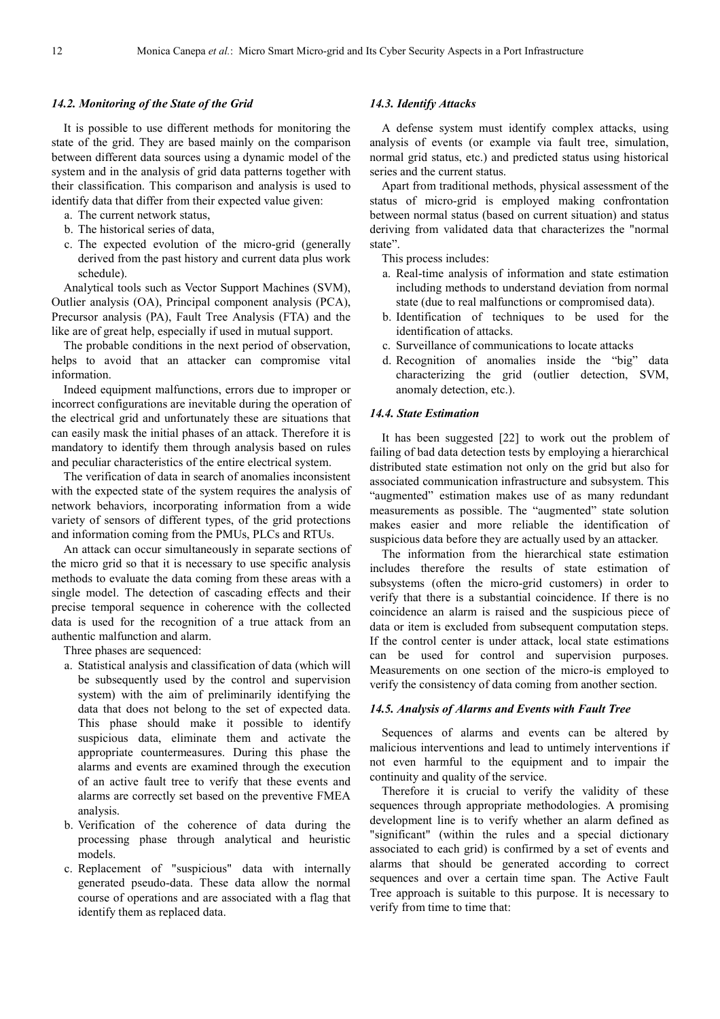#### *14.2. Monitoring of the State of the Grid*

It is possible to use different methods for monitoring the state of the grid. They are based mainly on the comparison between different data sources using a dynamic model of the system and in the analysis of grid data patterns together with their classification. This comparison and analysis is used to identify data that differ from their expected value given:

- a. The current network status,
- b. The historical series of data,
- c. The expected evolution of the micro-grid (generally derived from the past history and current data plus work schedule).

Analytical tools such as Vector Support Machines (SVM), Outlier analysis (OA), Principal component analysis (PCA), Precursor analysis (PA), Fault Tree Analysis (FTA) and the like are of great help, especially if used in mutual support.

The probable conditions in the next period of observation, helps to avoid that an attacker can compromise vital information.

Indeed equipment malfunctions, errors due to improper or incorrect configurations are inevitable during the operation of the electrical grid and unfortunately these are situations that can easily mask the initial phases of an attack. Therefore it is mandatory to identify them through analysis based on rules and peculiar characteristics of the entire electrical system.

The verification of data in search of anomalies inconsistent with the expected state of the system requires the analysis of network behaviors, incorporating information from a wide variety of sensors of different types, of the grid protections and information coming from the PMUs, PLCs and RTUs.

An attack can occur simultaneously in separate sections of the micro grid so that it is necessary to use specific analysis methods to evaluate the data coming from these areas with a single model. The detection of cascading effects and their precise temporal sequence in coherence with the collected data is used for the recognition of a true attack from an authentic malfunction and alarm.

Three phases are sequenced:

- a. Statistical analysis and classification of data (which will be subsequently used by the control and supervision system) with the aim of preliminarily identifying the data that does not belong to the set of expected data. This phase should make it possible to identify suspicious data, eliminate them and activate the appropriate countermeasures. During this phase the alarms and events are examined through the execution of an active fault tree to verify that these events and alarms are correctly set based on the preventive FMEA analysis.
- b. Verification of the coherence of data during the processing phase through analytical and heuristic models.
- c. Replacement of "suspicious" data with internally generated pseudo-data. These data allow the normal course of operations and are associated with a flag that identify them as replaced data.

#### *14.3. Identify Attacks*

A defense system must identify complex attacks, using analysis of events (or example via fault tree, simulation, normal grid status, etc.) and predicted status using historical series and the current status.

Apart from traditional methods, physical assessment of the status of micro-grid is employed making confrontation between normal status (based on current situation) and status deriving from validated data that characterizes the "normal state".

This process includes:

- a. Real-time analysis of information and state estimation including methods to understand deviation from normal state (due to real malfunctions or compromised data).
- b. Identification of techniques to be used for the identification of attacks.
- c. Surveillance of communications to locate attacks
- d. Recognition of anomalies inside the "big" data characterizing the grid (outlier detection, SVM, anomaly detection, etc.).

#### *14.4. State Estimation*

It has been suggested [22] to work out the problem of failing of bad data detection tests by employing a hierarchical distributed state estimation not only on the grid but also for associated communication infrastructure and subsystem. This "augmented" estimation makes use of as many redundant measurements as possible. The "augmented" state solution makes easier and more reliable the identification of suspicious data before they are actually used by an attacker.

The information from the hierarchical state estimation includes therefore the results of state estimation of subsystems (often the micro-grid customers) in order to verify that there is a substantial coincidence. If there is no coincidence an alarm is raised and the suspicious piece of data or item is excluded from subsequent computation steps. If the control center is under attack, local state estimations can be used for control and supervision purposes. Measurements on one section of the micro-is employed to verify the consistency of data coming from another section.

#### *14.5. Analysis of Alarms and Events with Fault Tree*

Sequences of alarms and events can be altered by malicious interventions and lead to untimely interventions if not even harmful to the equipment and to impair the continuity and quality of the service.

Therefore it is crucial to verify the validity of these sequences through appropriate methodologies. A promising development line is to verify whether an alarm defined as "significant" (within the rules and a special dictionary associated to each grid) is confirmed by a set of events and alarms that should be generated according to correct sequences and over a certain time span. The Active Fault Tree approach is suitable to this purpose. It is necessary to verify from time to time that: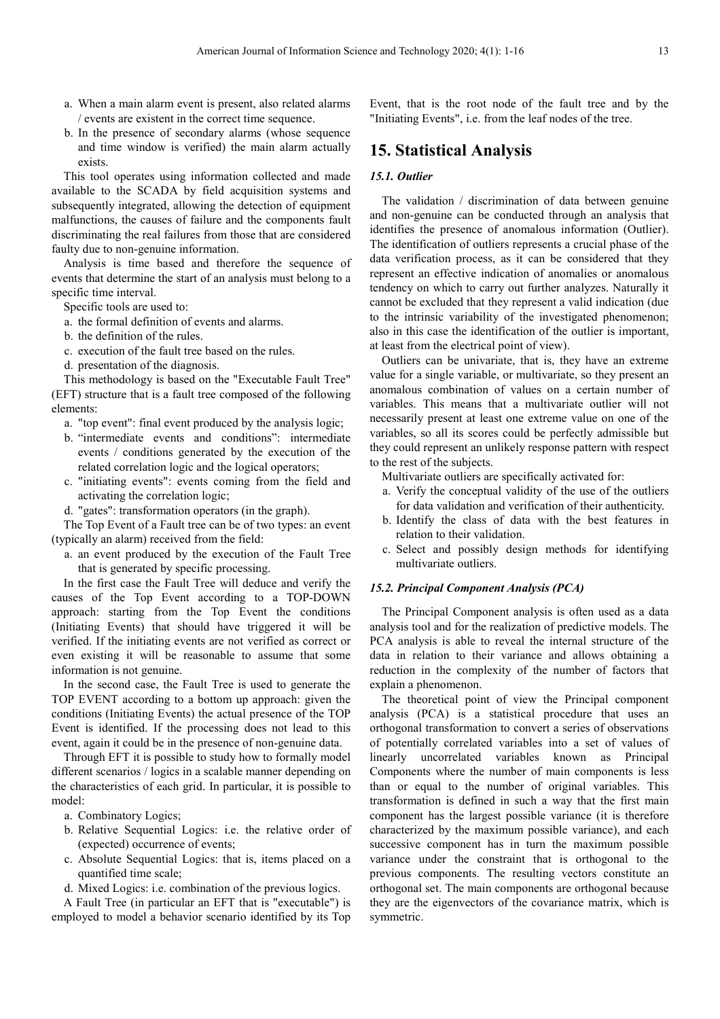- a. When a main alarm event is present, also related alarms / events are existent in the correct time sequence.
- b. In the presence of secondary alarms (whose sequence and time window is verified) the main alarm actually exists.

This tool operates using information collected and made available to the SCADA by field acquisition systems and subsequently integrated, allowing the detection of equipment malfunctions, the causes of failure and the components fault discriminating the real failures from those that are considered faulty due to non-genuine information.

Analysis is time based and therefore the sequence of events that determine the start of an analysis must belong to a specific time interval.

Specific tools are used to:

- a. the formal definition of events and alarms.
- b. the definition of the rules.
- c. execution of the fault tree based on the rules.
- d. presentation of the diagnosis.

This methodology is based on the "Executable Fault Tree" (EFT) structure that is a fault tree composed of the following elements:

- a. "top event": final event produced by the analysis logic;
- b. "intermediate events and conditions": intermediate events / conditions generated by the execution of the related correlation logic and the logical operators;
- c. "initiating events": events coming from the field and activating the correlation logic;
- d. "gates": transformation operators (in the graph).

The Top Event of a Fault tree can be of two types: an event (typically an alarm) received from the field:

a. an event produced by the execution of the Fault Tree that is generated by specific processing.

In the first case the Fault Tree will deduce and verify the causes of the Top Event according to a TOP-DOWN approach: starting from the Top Event the conditions (Initiating Events) that should have triggered it will be verified. If the initiating events are not verified as correct or even existing it will be reasonable to assume that some information is not genuine.

In the second case, the Fault Tree is used to generate the TOP EVENT according to a bottom up approach: given the conditions (Initiating Events) the actual presence of the TOP Event is identified. If the processing does not lead to this event, again it could be in the presence of non-genuine data.

Through EFT it is possible to study how to formally model different scenarios / logics in a scalable manner depending on the characteristics of each grid. In particular, it is possible to model:

- a. Combinatory Logics;
- b. Relative Sequential Logics: i.e. the relative order of (expected) occurrence of events;
- c. Absolute Sequential Logics: that is, items placed on a quantified time scale;
- d. Mixed Logics: i.e. combination of the previous logics.

A Fault Tree (in particular an EFT that is "executable") is employed to model a behavior scenario identified by its Top Event, that is the root node of the fault tree and by the "Initiating Events", i.e. from the leaf nodes of the tree.

### **15. Statistical Analysis**

#### *15.1. Outlier*

The validation / discrimination of data between genuine and non-genuine can be conducted through an analysis that identifies the presence of anomalous information (Outlier). The identification of outliers represents a crucial phase of the data verification process, as it can be considered that they represent an effective indication of anomalies or anomalous tendency on which to carry out further analyzes. Naturally it cannot be excluded that they represent a valid indication (due to the intrinsic variability of the investigated phenomenon; also in this case the identification of the outlier is important, at least from the electrical point of view).

Outliers can be univariate, that is, they have an extreme value for a single variable, or multivariate, so they present an anomalous combination of values on a certain number of variables. This means that a multivariate outlier will not necessarily present at least one extreme value on one of the variables, so all its scores could be perfectly admissible but they could represent an unlikely response pattern with respect to the rest of the subjects.

Multivariate outliers are specifically activated for:

- a. Verify the conceptual validity of the use of the outliers for data validation and verification of their authenticity.
- b. Identify the class of data with the best features in relation to their validation.
- c. Select and possibly design methods for identifying multivariate outliers.

#### *15.2. Principal Component Analysis (PCA)*

The Principal Component analysis is often used as a data analysis tool and for the realization of predictive models. The PCA analysis is able to reveal the internal structure of the data in relation to their variance and allows obtaining a reduction in the complexity of the number of factors that explain a phenomenon.

The theoretical point of view the Principal component analysis (PCA) is a statistical procedure that uses an orthogonal transformation to convert a series of observations of potentially correlated variables into a set of values of linearly uncorrelated variables known as Principal Components where the number of main components is less than or equal to the number of original variables. This transformation is defined in such a way that the first main component has the largest possible variance (it is therefore characterized by the maximum possible variance), and each successive component has in turn the maximum possible variance under the constraint that is orthogonal to the previous components. The resulting vectors constitute an orthogonal set. The main components are orthogonal because they are the eigenvectors of the covariance matrix, which is symmetric.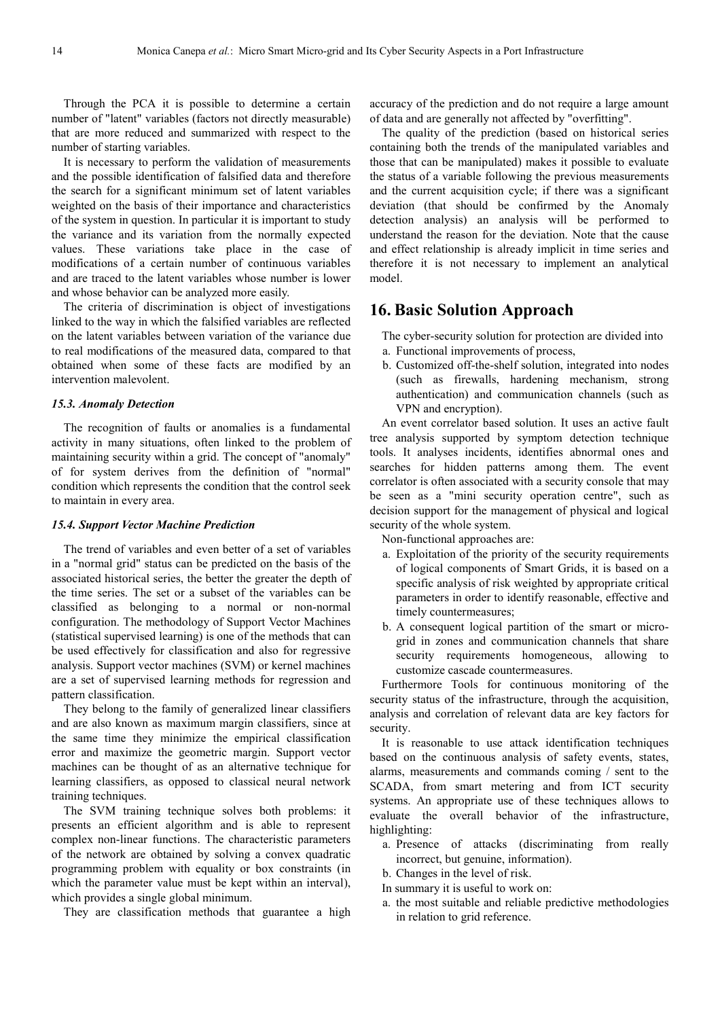Through the PCA it is possible to determine a certain number of "latent" variables (factors not directly measurable) that are more reduced and summarized with respect to the number of starting variables.

It is necessary to perform the validation of measurements and the possible identification of falsified data and therefore the search for a significant minimum set of latent variables weighted on the basis of their importance and characteristics of the system in question. In particular it is important to study the variance and its variation from the normally expected values. These variations take place in the case of modifications of a certain number of continuous variables and are traced to the latent variables whose number is lower and whose behavior can be analyzed more easily.

The criteria of discrimination is object of investigations linked to the way in which the falsified variables are reflected on the latent variables between variation of the variance due to real modifications of the measured data, compared to that obtained when some of these facts are modified by an intervention malevolent.

#### *15.3. Anomaly Detection*

The recognition of faults or anomalies is a fundamental activity in many situations, often linked to the problem of maintaining security within a grid. The concept of "anomaly" of for system derives from the definition of "normal" condition which represents the condition that the control seek to maintain in every area.

#### *15.4. Support Vector Machine Prediction*

The trend of variables and even better of a set of variables in a "normal grid" status can be predicted on the basis of the associated historical series, the better the greater the depth of the time series. The set or a subset of the variables can be classified as belonging to a normal or non-normal configuration. The methodology of Support Vector Machines (statistical supervised learning) is one of the methods that can be used effectively for classification and also for regressive analysis. Support vector machines (SVM) or kernel machines are a set of supervised learning methods for regression and pattern classification.

They belong to the family of generalized linear classifiers and are also known as maximum margin classifiers, since at the same time they minimize the empirical classification error and maximize the geometric margin. Support vector machines can be thought of as an alternative technique for learning classifiers, as opposed to classical neural network training techniques.

The SVM training technique solves both problems: it presents an efficient algorithm and is able to represent complex non-linear functions. The characteristic parameters of the network are obtained by solving a convex quadratic programming problem with equality or box constraints (in which the parameter value must be kept within an interval), which provides a single global minimum.

They are classification methods that guarantee a high

accuracy of the prediction and do not require a large amount of data and are generally not affected by "overfitting".

The quality of the prediction (based on historical series containing both the trends of the manipulated variables and those that can be manipulated) makes it possible to evaluate the status of a variable following the previous measurements and the current acquisition cycle; if there was a significant deviation (that should be confirmed by the Anomaly detection analysis) an analysis will be performed to understand the reason for the deviation. Note that the cause and effect relationship is already implicit in time series and therefore it is not necessary to implement an analytical model.

# **16. Basic Solution Approach**

- The cyber-security solution for protection are divided into
- a. Functional improvements of process,
- b. Customized off-the-shelf solution, integrated into nodes (such as firewalls, hardening mechanism, strong authentication) and communication channels (such as VPN and encryption).

An event correlator based solution. It uses an active fault tree analysis supported by symptom detection technique tools. It analyses incidents, identifies abnormal ones and searches for hidden patterns among them. The event correlator is often associated with a security console that may be seen as a "mini security operation centre", such as decision support for the management of physical and logical security of the whole system.

Non-functional approaches are:

- a. Exploitation of the priority of the security requirements of logical components of Smart Grids, it is based on a specific analysis of risk weighted by appropriate critical parameters in order to identify reasonable, effective and timely countermeasures;
- b. A consequent logical partition of the smart or microgrid in zones and communication channels that share security requirements homogeneous, allowing to customize cascade countermeasures.

Furthermore Tools for continuous monitoring of the security status of the infrastructure, through the acquisition, analysis and correlation of relevant data are key factors for security.

It is reasonable to use attack identification techniques based on the continuous analysis of safety events, states, alarms, measurements and commands coming / sent to the SCADA, from smart metering and from ICT security systems. An appropriate use of these techniques allows to evaluate the overall behavior of the infrastructure, highlighting:

- a. Presence of attacks (discriminating from really incorrect, but genuine, information).
- b. Changes in the level of risk.
- In summary it is useful to work on:
- a. the most suitable and reliable predictive methodologies in relation to grid reference.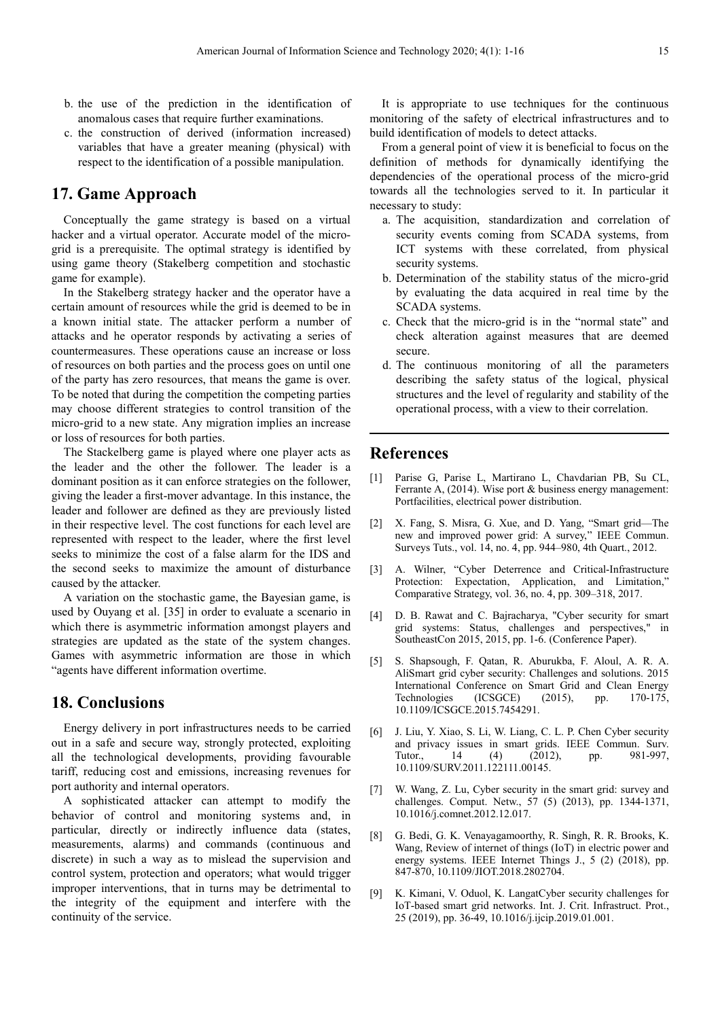- b. the use of the prediction in the identification of anomalous cases that require further examinations.
- c. the construction of derived (information increased) variables that have a greater meaning (physical) with respect to the identification of a possible manipulation.

# **17. Game Approach**

Conceptually the game strategy is based on a virtual hacker and a virtual operator. Accurate model of the microgrid is a prerequisite. The optimal strategy is identified by using game theory (Stakelberg competition and stochastic game for example).

In the Stakelberg strategy hacker and the operator have a certain amount of resources while the grid is deemed to be in a known initial state. The attacker perform a number of attacks and he operator responds by activating a series of countermeasures. These operations cause an increase or loss of resources on both parties and the process goes on until one of the party has zero resources, that means the game is over. To be noted that during the competition the competing parties may choose different strategies to control transition of the micro-grid to a new state. Any migration implies an increase or loss of resources for both parties.

The Stackelberg game is played where one player acts as the leader and the other the follower. The leader is a dominant position as it can enforce strategies on the follower, giving the leader a first-mover advantage. In this instance, the leader and follower are defined as they are previously listed in their respective level. The cost functions for each level are represented with respect to the leader, where the first level seeks to minimize the cost of a false alarm for the IDS and the second seeks to maximize the amount of disturbance caused by the attacker.

A variation on the stochastic game, the Bayesian game, is used by Ouyang et al. [35] in order to evaluate a scenario in which there is asymmetric information amongst players and strategies are updated as the state of the system changes. Games with asymmetric information are those in which "agents have different information overtime.

### **18. Conclusions**

Energy delivery in port infrastructures needs to be carried out in a safe and secure way, strongly protected, exploiting all the technological developments, providing favourable tariff, reducing cost and emissions, increasing revenues for port authority and internal operators.

A sophisticated attacker can attempt to modify the behavior of control and monitoring systems and, in particular, directly or indirectly influence data (states, measurements, alarms) and commands (continuous and discrete) in such a way as to mislead the supervision and control system, protection and operators; what would trigger improper interventions, that in turns may be detrimental to the integrity of the equipment and interfere with the continuity of the service.

It is appropriate to use techniques for the continuous monitoring of the safety of electrical infrastructures and to build identification of models to detect attacks.

From a general point of view it is beneficial to focus on the definition of methods for dynamically identifying the dependencies of the operational process of the micro-grid towards all the technologies served to it. In particular it necessary to study:

- a. The acquisition, standardization and correlation of security events coming from SCADA systems, from ICT systems with these correlated, from physical security systems.
- b. Determination of the stability status of the micro-grid by evaluating the data acquired in real time by the SCADA systems.
- c. Check that the micro-grid is in the "normal state" and check alteration against measures that are deemed secure.
- d. The continuous monitoring of all the parameters describing the safety status of the logical, physical structures and the level of regularity and stability of the operational process, with a view to their correlation.

### **References**

- [1] Parise G, Parise L, Martirano L, Chavdarian PB, Su CL, Ferrante A, (2014). Wise port & business energy management: Portfacilities, electrical power distribution.
- [2] X. Fang, S. Misra, G. Xue, and D. Yang, "Smart grid—The new and improved power grid: A survey," IEEE Commun. Surveys Tuts., vol. 14, no. 4, pp. 944–980, 4th Quart., 2012.
- [3] A. Wilner, "Cyber Deterrence and Critical-Infrastructure Protection: Expectation, Application, and Limitation," Comparative Strategy, vol. 36, no. 4, pp. 309–318, 2017.
- [4] D. B. Rawat and C. Bajracharya, "Cyber security for smart grid systems: Status, challenges and perspectives," in SoutheastCon 2015, 2015, pp. 1-6. (Conference Paper).
- [5] S. Shapsough, F. Qatan, R. Aburukba, F. Aloul, A. R. A. AliSmart grid cyber security: Challenges and solutions. 2015 International Conference on Smart Grid and Clean Energy Technologies (ICSGCE) (2015), pp. 170-175, 10.1109/ICSGCE.2015.7454291.
- [6] J. Liu, Y. Xiao, S. Li, W. Liang, C. L. P. Chen Cyber security and privacy issues in smart grids. IEEE Commun. Surv. Tutor., 14 (4) (2012), pp. 981-997, 10.1109/SURV.2011.122111.00145.
- [7] W. Wang, Z. Lu, Cyber security in the smart grid: survey and challenges. Comput. Netw., 57 (5) (2013), pp. 1344-1371, 10.1016/j.comnet.2012.12.017.
- [8] G. Bedi, G. K. Venayagamoorthy, R. Singh, R. R. Brooks, K. Wang, Review of internet of things (IoT) in electric power and energy systems. IEEE Internet Things J., 5 (2) (2018), pp. 847-870, 10.1109/JIOT.2018.2802704.
- [9] K. Kimani, V. Oduol, K. LangatCyber security challenges for IoT-based smart grid networks. Int. J. Crit. Infrastruct. Prot., 25 (2019), pp. 36-49, 10.1016/j.ijcip.2019.01.001.